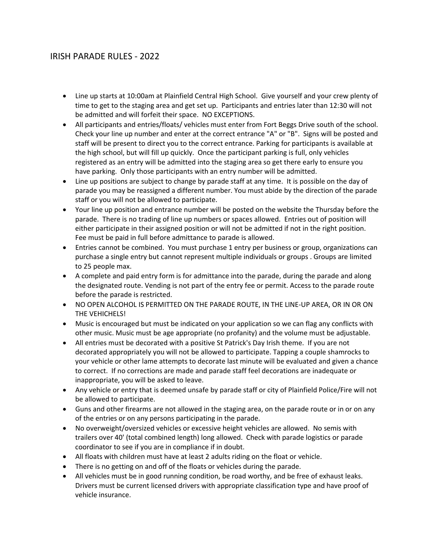## IRISH PARADE RULES - 2022

- Line up starts at 10:00am at Plainfield Central High School. Give yourself and your crew plenty of time to get to the staging area and get set up. Participants and entries later than 12:30 will not be admitted and will forfeit their space. NO EXCEPTIONS.
- All participants and entries/floats/ vehicles must enter from Fort Beggs Drive south of the school. Check your line up number and enter at the correct entrance "A" or "B". Signs will be posted and staff will be present to direct you to the correct entrance. Parking for participants is available at the high school, but will fill up quickly. Once the participant parking is full, only vehicles registered as an entry will be admitted into the staging area so get there early to ensure you have parking. Only those participants with an entry number will be admitted.
- Line up positions are subject to change by parade staff at any time. It is possible on the day of parade you may be reassigned a different number. You must abide by the direction of the parade staff or you will not be allowed to participate.
- Your line up position and entrance number will be posted on the website the Thursday before the parade. There is no trading of line up numbers or spaces allowed. Entries out of position will either participate in their assigned position or will not be admitted if not in the right position. Fee must be paid in full before admittance to parade is allowed.
- Entries cannot be combined. You must purchase 1 entry per business or group, organizations can purchase a single entry but cannot represent multiple individuals or groups . Groups are limited to 25 people max.
- A complete and paid entry form is for admittance into the parade, during the parade and along the designated route. Vending is not part of the entry fee or permit. Access to the parade route before the parade is restricted.
- NO OPEN ALCOHOL IS PERMITTED ON THE PARADE ROUTE, IN THE LINE-UP AREA, OR IN OR ON THE VEHICHELS!
- Music is encouraged but must be indicated on your application so we can flag any conflicts with other music. Music must be age appropriate (no profanity) and the volume must be adjustable.
- All entries must be decorated with a positive St Patrick's Day Irish theme. If you are not decorated appropriately you will not be allowed to participate. Tapping a couple shamrocks to your vehicle or other lame attempts to decorate last minute will be evaluated and given a chance to correct. If no corrections are made and parade staff feel decorations are inadequate or inappropriate, you will be asked to leave.
- Any vehicle or entry that is deemed unsafe by parade staff or city of Plainfield Police/Fire will not be allowed to participate.
- Guns and other firearms are not allowed in the staging area, on the parade route or in or on any of the entries or on any persons participating in the parade.
- No overweight/oversized vehicles or excessive height vehicles are allowed. No semis with trailers over 40' (total combined length) long allowed. Check with parade logistics or parade coordinator to see if you are in compliance if in doubt.
- All floats with children must have at least 2 adults riding on the float or vehicle.
- There is no getting on and off of the floats or vehicles during the parade.
- All vehicles must be in good running condition, be road worthy, and be free of exhaust leaks. Drivers must be current licensed drivers with appropriate classification type and have proof of vehicle insurance.